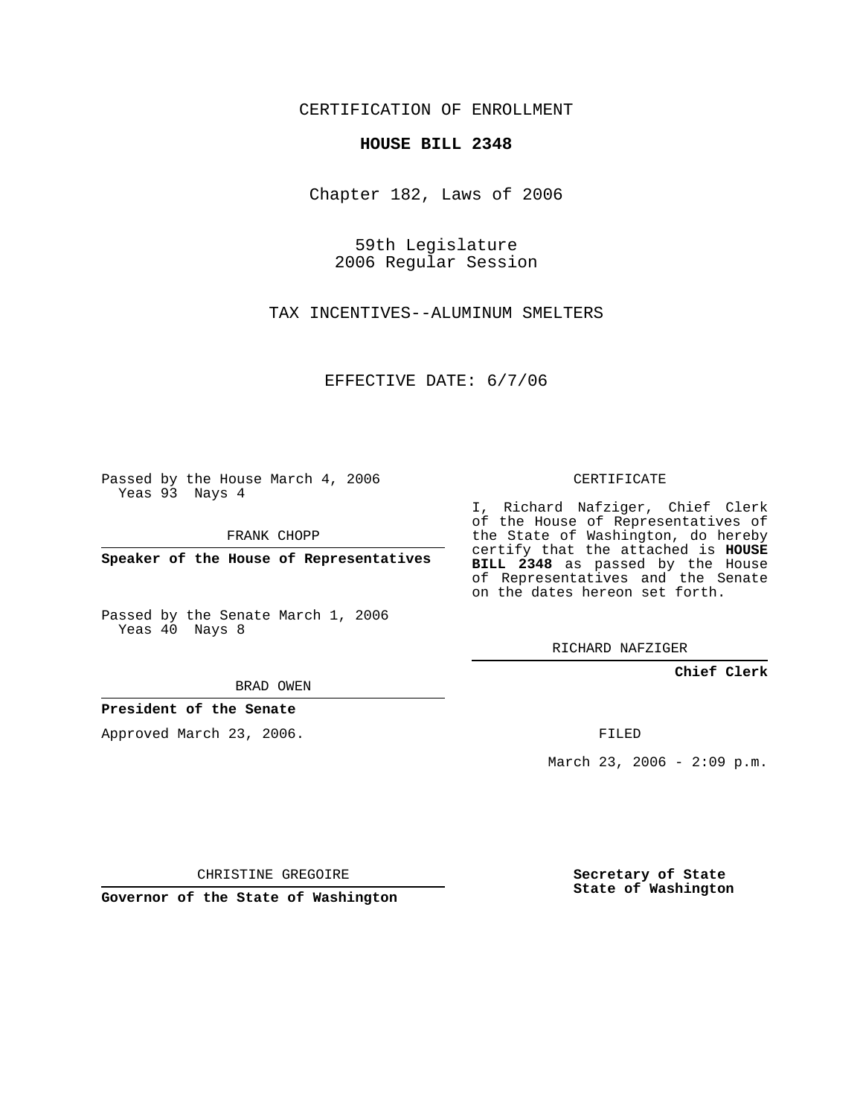CERTIFICATION OF ENROLLMENT

## **HOUSE BILL 2348**

Chapter 182, Laws of 2006

59th Legislature 2006 Regular Session

TAX INCENTIVES--ALUMINUM SMELTERS

EFFECTIVE DATE: 6/7/06

Passed by the House March 4, 2006 Yeas 93 Nays 4

FRANK CHOPP

**Speaker of the House of Representatives**

Passed by the Senate March 1, 2006 Yeas 40 Nays 8

CERTIFICATE

I, Richard Nafziger, Chief Clerk of the House of Representatives of the State of Washington, do hereby certify that the attached is **HOUSE BILL 2348** as passed by the House of Representatives and the Senate on the dates hereon set forth.

RICHARD NAFZIGER

**Chief Clerk**

BRAD OWEN

**President of the Senate**

Approved March 23, 2006.

FILED

March 23, 2006 -  $2:09$  p.m.

CHRISTINE GREGOIRE

**Governor of the State of Washington**

**Secretary of State State of Washington**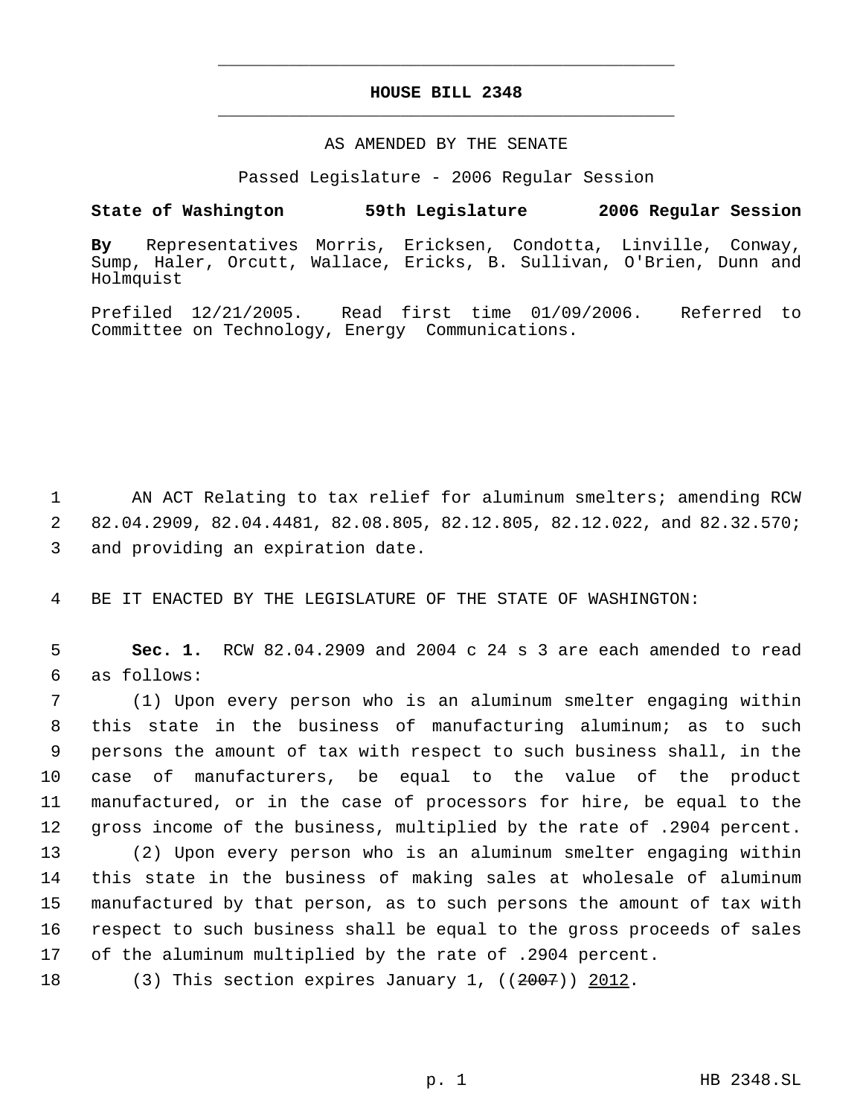## **HOUSE BILL 2348** \_\_\_\_\_\_\_\_\_\_\_\_\_\_\_\_\_\_\_\_\_\_\_\_\_\_\_\_\_\_\_\_\_\_\_\_\_\_\_\_\_\_\_\_\_

\_\_\_\_\_\_\_\_\_\_\_\_\_\_\_\_\_\_\_\_\_\_\_\_\_\_\_\_\_\_\_\_\_\_\_\_\_\_\_\_\_\_\_\_\_

## AS AMENDED BY THE SENATE

Passed Legislature - 2006 Regular Session

## **State of Washington 59th Legislature 2006 Regular Session**

**By** Representatives Morris, Ericksen, Condotta, Linville, Conway, Sump, Haler, Orcutt, Wallace, Ericks, B. Sullivan, O'Brien, Dunn and Holmquist

Prefiled 12/21/2005. Read first time 01/09/2006. Referred to Committee on Technology, Energy Communications.

 1 AN ACT Relating to tax relief for aluminum smelters; amending RCW 2 82.04.2909, 82.04.4481, 82.08.805, 82.12.805, 82.12.022, and 82.32.570; 3 and providing an expiration date.

4 BE IT ENACTED BY THE LEGISLATURE OF THE STATE OF WASHINGTON:

 5 **Sec. 1.** RCW 82.04.2909 and 2004 c 24 s 3 are each amended to read 6 as follows:

 (1) Upon every person who is an aluminum smelter engaging within this state in the business of manufacturing aluminum; as to such persons the amount of tax with respect to such business shall, in the case of manufacturers, be equal to the value of the product manufactured, or in the case of processors for hire, be equal to the gross income of the business, multiplied by the rate of .2904 percent. (2) Upon every person who is an aluminum smelter engaging within this state in the business of making sales at wholesale of aluminum

15 manufactured by that person, as to such persons the amount of tax with 16 respect to such business shall be equal to the gross proceeds of sales 17 of the aluminum multiplied by the rate of .2904 percent.

18 (3) This section expires January 1, ((2007)) 2012.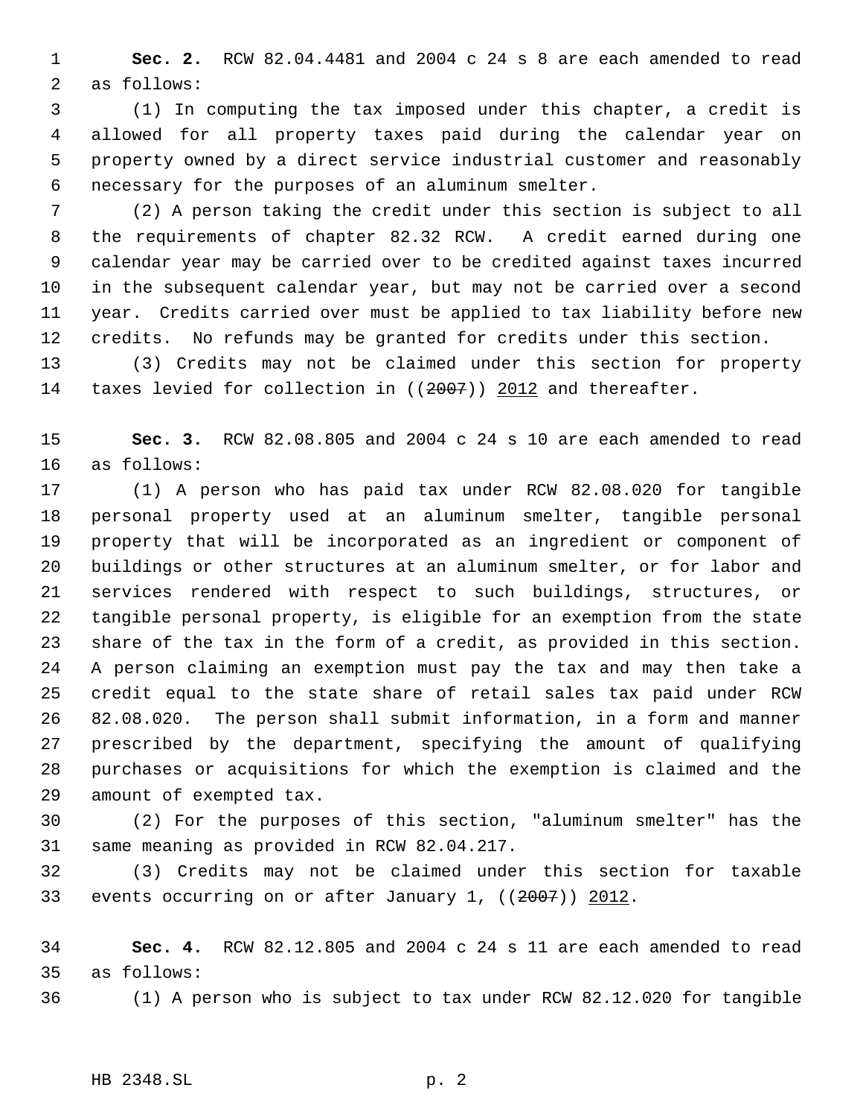**Sec. 2.** RCW 82.04.4481 and 2004 c 24 s 8 are each amended to read as follows:

 (1) In computing the tax imposed under this chapter, a credit is allowed for all property taxes paid during the calendar year on property owned by a direct service industrial customer and reasonably necessary for the purposes of an aluminum smelter.

 (2) A person taking the credit under this section is subject to all the requirements of chapter 82.32 RCW. A credit earned during one calendar year may be carried over to be credited against taxes incurred in the subsequent calendar year, but may not be carried over a second year. Credits carried over must be applied to tax liability before new credits. No refunds may be granted for credits under this section.

 (3) Credits may not be claimed under this section for property 14 taxes levied for collection in ((2007)) 2012 and thereafter.

 **Sec. 3.** RCW 82.08.805 and 2004 c 24 s 10 are each amended to read as follows:

 (1) A person who has paid tax under RCW 82.08.020 for tangible personal property used at an aluminum smelter, tangible personal property that will be incorporated as an ingredient or component of buildings or other structures at an aluminum smelter, or for labor and services rendered with respect to such buildings, structures, or tangible personal property, is eligible for an exemption from the state share of the tax in the form of a credit, as provided in this section. A person claiming an exemption must pay the tax and may then take a credit equal to the state share of retail sales tax paid under RCW 82.08.020. The person shall submit information, in a form and manner prescribed by the department, specifying the amount of qualifying purchases or acquisitions for which the exemption is claimed and the amount of exempted tax.

 (2) For the purposes of this section, "aluminum smelter" has the same meaning as provided in RCW 82.04.217.

 (3) Credits may not be claimed under this section for taxable 33 events occurring on or after January 1, ((2007)) 2012.

 **Sec. 4.** RCW 82.12.805 and 2004 c 24 s 11 are each amended to read as follows:

(1) A person who is subject to tax under RCW 82.12.020 for tangible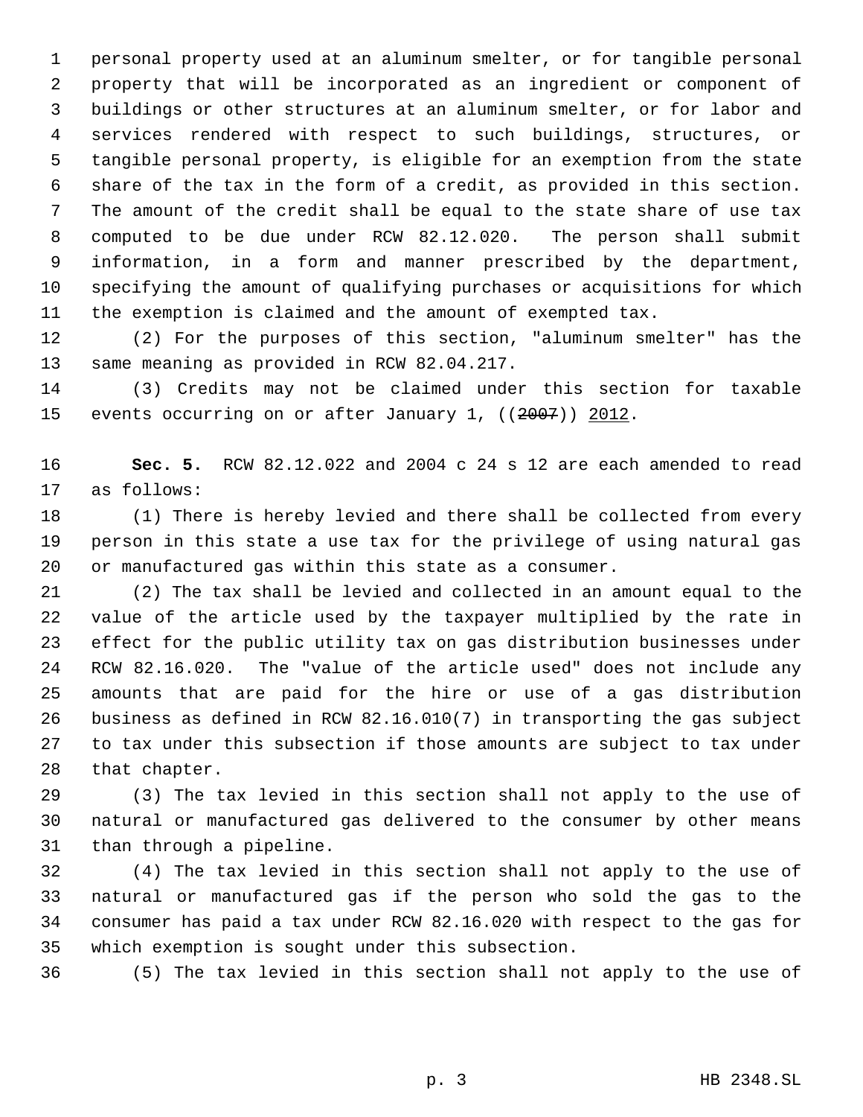personal property used at an aluminum smelter, or for tangible personal property that will be incorporated as an ingredient or component of buildings or other structures at an aluminum smelter, or for labor and services rendered with respect to such buildings, structures, or tangible personal property, is eligible for an exemption from the state share of the tax in the form of a credit, as provided in this section. The amount of the credit shall be equal to the state share of use tax computed to be due under RCW 82.12.020. The person shall submit information, in a form and manner prescribed by the department, specifying the amount of qualifying purchases or acquisitions for which the exemption is claimed and the amount of exempted tax.

 (2) For the purposes of this section, "aluminum smelter" has the same meaning as provided in RCW 82.04.217.

 (3) Credits may not be claimed under this section for taxable 15 events occurring on or after January 1, ((2007)) 2012.

 **Sec. 5.** RCW 82.12.022 and 2004 c 24 s 12 are each amended to read as follows:

 (1) There is hereby levied and there shall be collected from every person in this state a use tax for the privilege of using natural gas or manufactured gas within this state as a consumer.

 (2) The tax shall be levied and collected in an amount equal to the value of the article used by the taxpayer multiplied by the rate in effect for the public utility tax on gas distribution businesses under RCW 82.16.020. The "value of the article used" does not include any amounts that are paid for the hire or use of a gas distribution business as defined in RCW 82.16.010(7) in transporting the gas subject to tax under this subsection if those amounts are subject to tax under that chapter.

 (3) The tax levied in this section shall not apply to the use of natural or manufactured gas delivered to the consumer by other means than through a pipeline.

 (4) The tax levied in this section shall not apply to the use of natural or manufactured gas if the person who sold the gas to the consumer has paid a tax under RCW 82.16.020 with respect to the gas for which exemption is sought under this subsection.

(5) The tax levied in this section shall not apply to the use of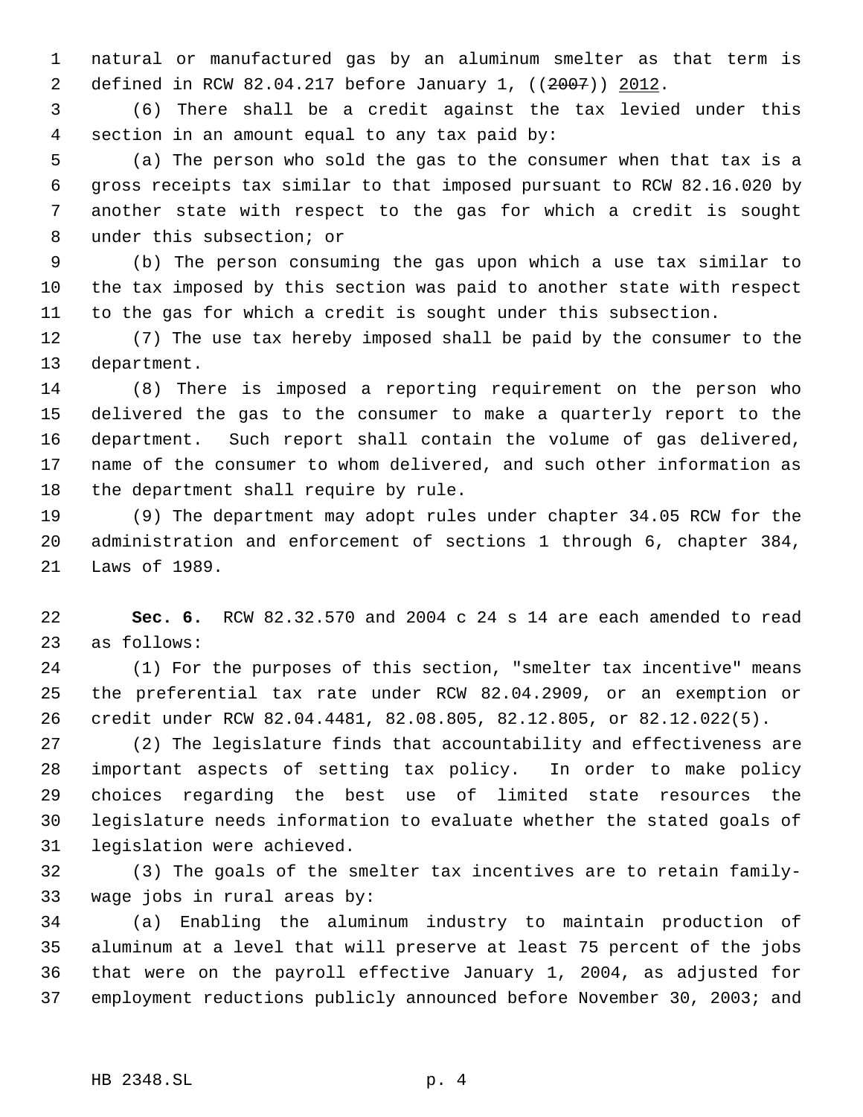natural or manufactured gas by an aluminum smelter as that term is defined in RCW 82.04.217 before January 1, ((2007)) 2012.

 (6) There shall be a credit against the tax levied under this section in an amount equal to any tax paid by:

 (a) The person who sold the gas to the consumer when that tax is a gross receipts tax similar to that imposed pursuant to RCW 82.16.020 by another state with respect to the gas for which a credit is sought under this subsection; or

 (b) The person consuming the gas upon which a use tax similar to the tax imposed by this section was paid to another state with respect to the gas for which a credit is sought under this subsection.

 (7) The use tax hereby imposed shall be paid by the consumer to the department.

 (8) There is imposed a reporting requirement on the person who delivered the gas to the consumer to make a quarterly report to the department. Such report shall contain the volume of gas delivered, name of the consumer to whom delivered, and such other information as the department shall require by rule.

 (9) The department may adopt rules under chapter 34.05 RCW for the administration and enforcement of sections 1 through 6, chapter 384, Laws of 1989.

 **Sec. 6.** RCW 82.32.570 and 2004 c 24 s 14 are each amended to read as follows:

 (1) For the purposes of this section, "smelter tax incentive" means the preferential tax rate under RCW 82.04.2909, or an exemption or credit under RCW 82.04.4481, 82.08.805, 82.12.805, or 82.12.022(5).

 (2) The legislature finds that accountability and effectiveness are important aspects of setting tax policy. In order to make policy choices regarding the best use of limited state resources the legislature needs information to evaluate whether the stated goals of legislation were achieved.

 (3) The goals of the smelter tax incentives are to retain family-wage jobs in rural areas by:

 (a) Enabling the aluminum industry to maintain production of aluminum at a level that will preserve at least 75 percent of the jobs that were on the payroll effective January 1, 2004, as adjusted for employment reductions publicly announced before November 30, 2003; and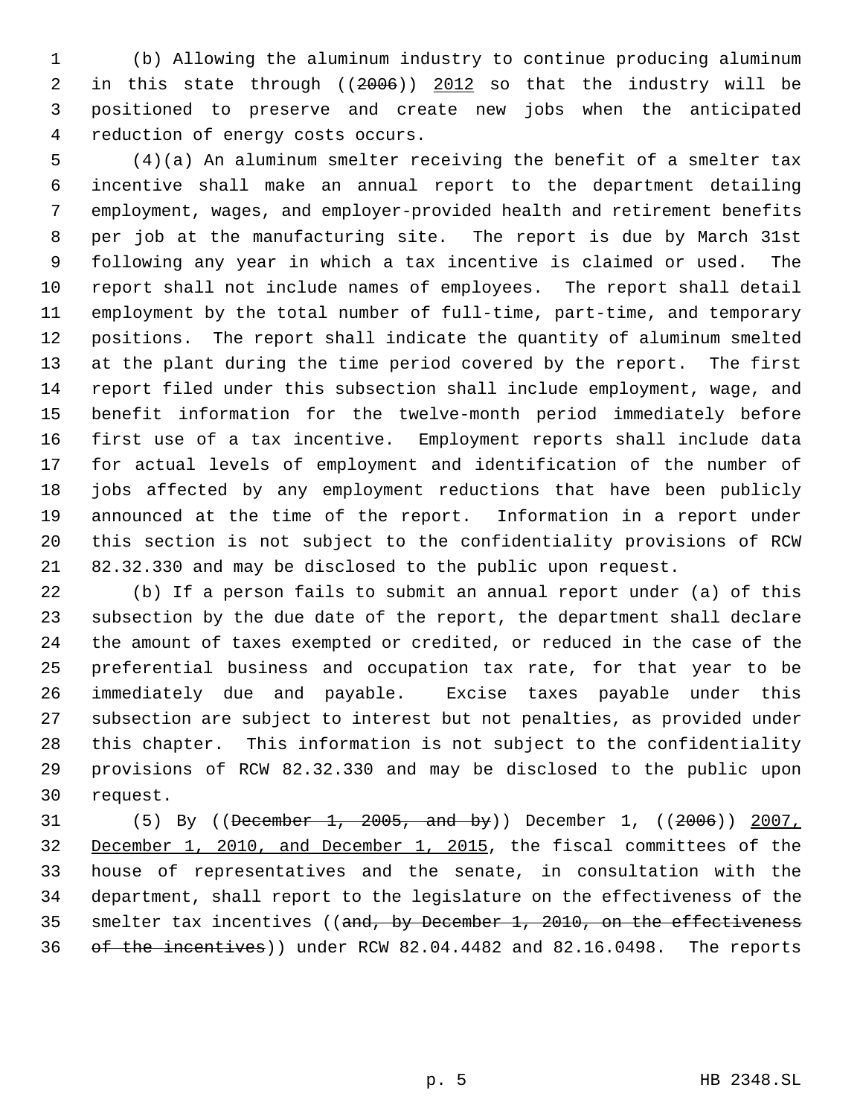(b) Allowing the aluminum industry to continue producing aluminum in this state through ((2006)) 2012 so that the industry will be positioned to preserve and create new jobs when the anticipated reduction of energy costs occurs.

 (4)(a) An aluminum smelter receiving the benefit of a smelter tax incentive shall make an annual report to the department detailing employment, wages, and employer-provided health and retirement benefits per job at the manufacturing site. The report is due by March 31st following any year in which a tax incentive is claimed or used. The report shall not include names of employees. The report shall detail employment by the total number of full-time, part-time, and temporary positions. The report shall indicate the quantity of aluminum smelted at the plant during the time period covered by the report. The first report filed under this subsection shall include employment, wage, and benefit information for the twelve-month period immediately before first use of a tax incentive. Employment reports shall include data for actual levels of employment and identification of the number of jobs affected by any employment reductions that have been publicly announced at the time of the report. Information in a report under this section is not subject to the confidentiality provisions of RCW 82.32.330 and may be disclosed to the public upon request.

 (b) If a person fails to submit an annual report under (a) of this subsection by the due date of the report, the department shall declare the amount of taxes exempted or credited, or reduced in the case of the preferential business and occupation tax rate, for that year to be immediately due and payable. Excise taxes payable under this subsection are subject to interest but not penalties, as provided under this chapter. This information is not subject to the confidentiality provisions of RCW 82.32.330 and may be disclosed to the public upon request.

 (5) By ((December 1, 2005, and by)) December 1, ((2006)) 2007, December 1, 2010, and December 1, 2015, the fiscal committees of the house of representatives and the senate, in consultation with the department, shall report to the legislature on the effectiveness of the 35 smelter tax incentives ((and, by December 1, 2010, on the effectiveness of the incentives)) under RCW 82.04.4482 and 82.16.0498. The reports